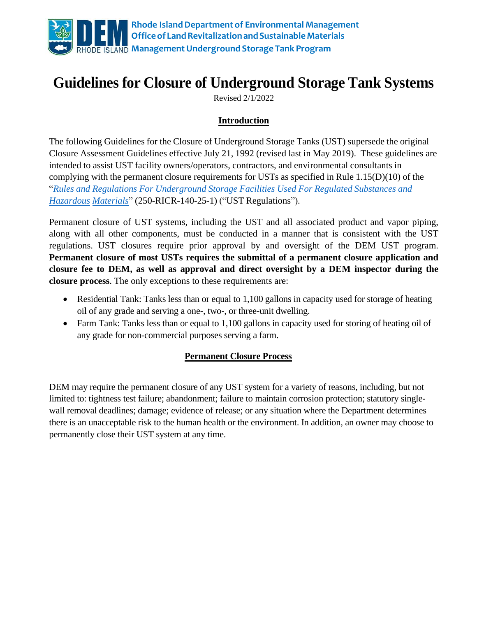

# **Guidelines for Closure of Underground Storage Tank Systems**

Revised 2/1/2022

## **Introduction**

The following Guidelines for the Closure of Underground Storage Tanks (UST) supersede the original Closure Assessment Guidelines effective July 21, 1992 (revised last in May 2019). These guidelines are intended to assist UST facility owners/operators, contractors, and environmental consultants in complying with the permanent closure requirements for USTs as specified in Rule 1.15([D\)\(10\) of the](https://rules.sos.ri.gov/regulations/part/250-140-25-1)  "*Rules and [Regulations For Underground Storage Facilities Used For Regulated Substances and](https://rules.sos.ri.gov/regulations/part/250-140-25-1)  [Hazardou](https://rules.sos.ri.gov/regulations/part/250-140-25-1)s Materials*" (250-RICR-140-25-1) ("UST Regulations").

Permanent closure of UST systems, including the UST and all associated product and vapor piping, along with all other components, must be conducted in a manner that is consistent with the UST regulations. UST closures require prior approval by and oversight of the DEM UST program. **Permanent closure of most USTs requires the submittal of a permanent closure application and closure fee to DEM, as well as approval and direct oversight by a DEM inspector during the closure process**. The only exceptions to these requirements are:

- Residential Tank: Tanks less than or equal to 1,100 gallons in capacity used for storage of heating oil of any grade and serving a one-, two-, or three-unit dwelling.
- Farm Tank: Tanks less than or equal to 1,100 gallons in capacity used for storing of heating oil of any grade for non-commercial purposes serving a farm.

## **Permanent Closure Process**

DEM may require the permanent closure of any UST system for a variety of reasons, including, but not limited to: tightness test failure; abandonment; failure to maintain corrosion protection; statutory singlewall removal deadlines; damage; evidence of release; or any situation where the Department determines there is an unacceptable risk to the human health or the environment. In addition, an owner may choose to permanently close their UST system at any time.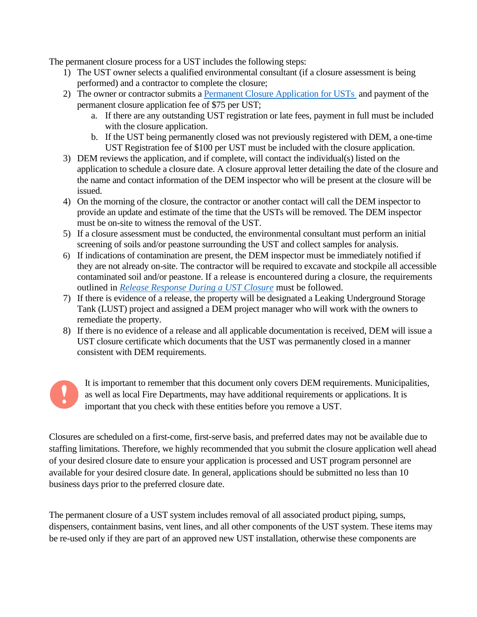The permanent closure process for a UST includes the following steps:

- 1) The UST owner selects a qualified environmental consultant (if a closure assessment is being performed) and a contractor to complete the closure;
- 2) The owner or contractor submits a [Permanent Closure Application for USTs](http://www.dem.ri.gov/programs/benviron/waste/pdf/ustclosr.pdf) and payment of the permanent closure application fee of \$75 per UST;
	- a. If there are any outstanding UST registration or late fees, payment in full must be included with the closure application.
	- b. If the UST being permanently closed was not previously registered with DEM, a one-time UST Registration fee of \$100 per UST must be included with the closure application.
- 3) DEM reviews the application, and if complete, will contact the individual(s) listed on the application to schedule a closure date. A closure approval letter detailing the date of the closure and the name and contact information of the DEM inspector who will be present at the closure will be issued.
- 4) On the morning of the closure, the contractor or another contact will call the DEM inspector to provide an update and estimate of the time that the USTs will be removed. The DEM inspector must be on-site to witness the removal of the UST.
- 5) If a closure assessment must be conducted, the environmental consultant must perform an initial screening of soils and/or peastone surrounding the UST and collect samples for analysis.
- 6) If indications of contamination are present, the DEM inspector must be immediately notified if they are not already on-site. The contractor will be required to excavate and stockpile all accessible contaminated soil and/or peastone. If a release is encountered during a closure, the requirements outlined in *[Release Response During a UST Closure](http://www.dem.ri.gov/programs/benviron/waste/pdf/Release%20Response%20During%20a%20UST%20Closure.pdf)* must be followed.
- 7) If there is evidence of a release, the property will be designated a Leaking Underground Storage Tank (LUST) project and assigned a DEM project manager who will work with the owners to remediate the property.
- 8) If there is no evidence of a release and all applicable documentation is received, DEM will issue a UST closure certificate which documents that the UST was permanently closed in a manner consistent with DEM requirements.



It is important to remember that this document only covers DEM requirements. Municipalities, as well as local Fire Departments, may have additional requirements or applications. It is important that you check with these entities before you remove a UST.

Closures are scheduled on a first-come, first-serve basis, and preferred dates may not be available due to staffing limitations. Therefore, we highly recommended that you submit the closure application well ahead of your desired closure date to ensure your application is processed and UST program personnel are available for your desired closure date. In general, applications should be submitted no less than 10 business days prior to the preferred closure date.

The permanent closure of a UST system includes removal of all associated product piping, sumps, dispensers, containment basins, vent lines, and all other components of the UST system. These items may be re-used only if they are part of an approved new UST installation, otherwise these components are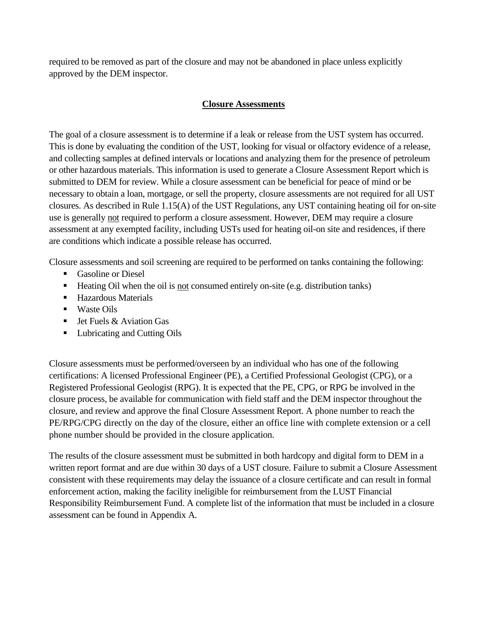required to be removed as part of the closure and may not be abandoned in place unless explicitly approved by the DEM inspector.

#### **Closure Assessments**

The goal of a closure assessment is to determine if a leak or release from the UST system has occurred. This is done by evaluating the condition of the UST, looking for visual or olfactory evidence of a release, and collecting samples at defined intervals or locations and analyzing them for the presence of petroleum or other hazardous materials. This information is used to generate a Closure Assessment Report which is submitted to DEM for review. While a closure assessment can be beneficial for peace of mind or be necessary to obtain a loan, mortgage, or sell the property, closure assessments are not required for all UST closures. As described in Rule 1.15(A) of the UST Regulations, any UST containing heating oil for on-site use is generally not required to perform a closure assessment. However, DEM may require a closure assessment at any exempted facility, including USTs used for heating oil-on site and residences, if there are conditions which indicate a possible release has occurred.

Closure assessments and soil screening are required to be performed on tanks containing the following:

- Gasoline or Diesel
- Heating Oil when the oil is not consumed entirely on-site (e.g. distribution tanks)
- Hazardous Materials
- Waste Oils
- **•** Jet Fuels  $&$  Aviation Gas
- Lubricating and Cutting Oils

Closure assessments must be performed/overseen by an individual who has one of the following certifications: A licensed Professional Engineer (PE), a Certified Professional Geologist (CPG), or a Registered Professional Geologist (RPG). It is expected that the PE, CPG, or RPG be involved in the closure process, be available for communication with field staff and the DEM inspector throughout the closure, and review and approve the final Closure Assessment Report. A phone number to reach the PE/RPG/CPG directly on the day of the closure, either an office line with complete extension or a cell phone number should be provided in the closure application.

The results of the closure assessment must be submitted in both hardcopy and digital form to DEM in a written report format and are due within 30 days of a UST closure. Failure to submit a Closure Assessment consistent with these requirements may delay the issuance of a closure certificate and can result in formal enforcement action, making the facility ineligible for reimbursement from the LUST Financial Responsibility Reimbursement Fund. A complete list of the information that must be included in a closure assessment can be found in Appendix A.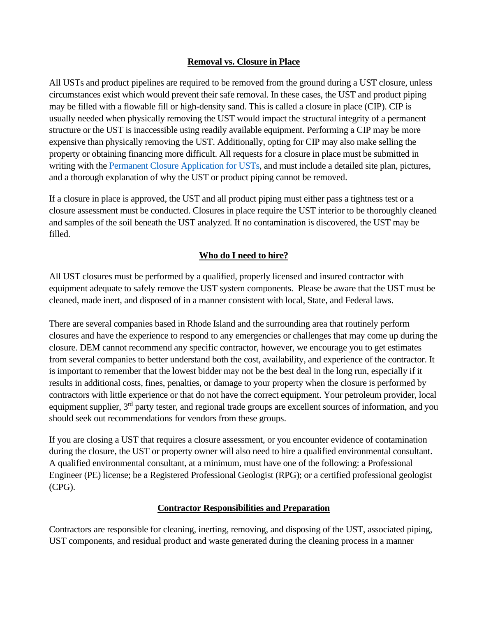#### **Removal vs. Closure in Place**

All USTs and product pipelines are required to be removed from the ground during a UST closure, unless circumstances exist which would prevent their safe removal. In these cases, the UST and product piping may be filled with a flowable fill or high-density sand. This is called a closure in place (CIP). CIP is usually needed when physically removing the UST would impact the structural integrity of a permanent structure or the UST is inaccessible using readily available equipment. Performing a CIP may be more expensive than physically removing the UST. Additionally, opting for CIP may also make selling the property or obtaining financing more difficult. All requests for a closure in place must be submitted in writing with the [Permanent Closure Application for USTs,](http://www.dem.ri.gov/programs/benviron/waste/pdf/ustclosr.pdf) and must include a detailed site plan, pictures, and a thorough explanation of why the UST or product piping cannot be removed.

If a closure in place is approved, the UST and all product piping must either pass a tightness test or a closure assessment must be conducted. Closures in place require the UST interior to be thoroughly cleaned and samples of the soil beneath the UST analyzed. If no contamination is discovered, the UST may be filled.

#### **Who do I need to hire?**

All UST closures must be performed by a qualified, properly licensed and insured contractor with equipment adequate to safely remove the UST system components. Please be aware that the UST must be cleaned, made inert, and disposed of in a manner consistent with local, State, and Federal laws.

There are several companies based in Rhode Island and the surrounding area that routinely perform closures and have the experience to respond to any emergencies or challenges that may come up during the closure. DEM cannot recommend any specific contractor, however, we encourage you to get estimates from several companies to better understand both the cost, availability, and experience of the contractor. It is important to remember that the lowest bidder may not be the best deal in the long run, especially if it results in additional costs, fines, penalties, or damage to your property when the closure is performed by contractors with little experience or that do not have the correct equipment. Your petroleum provider, local equipment supplier, 3<sup>rd</sup> party tester, and regional trade groups are excellent sources of information, and you should seek out recommendations for vendors from these groups.

If you are closing a UST that requires a closure assessment, or you encounter evidence of contamination during the closure, the UST or property owner will also need to hire a qualified environmental consultant. A qualified environmental consultant, at a minimum, must have one of the following: a Professional Engineer (PE) license; be a Registered Professional Geologist (RPG); or a certified professional geologist (CPG).

#### **Contractor Responsibilities and Preparation**

Contractors are responsible for cleaning, inerting, removing, and disposing of the UST, associated piping, UST components, and residual product and waste generated during the cleaning process in a manner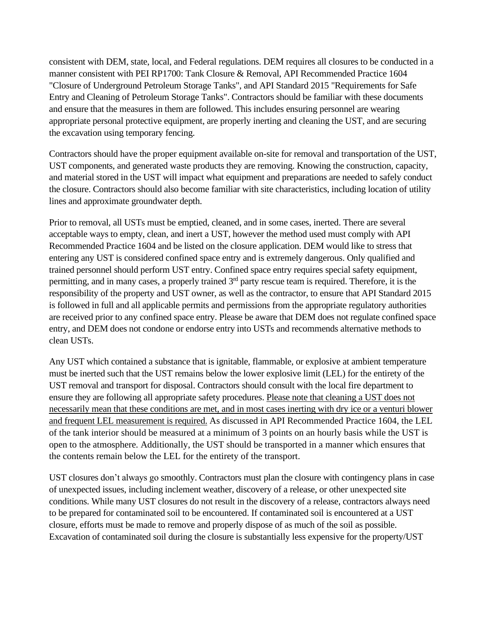consistent with DEM, state, local, and Federal regulations. DEM requires all closures to be conducted in a manner consistent with PEI RP1700: Tank Closure & Removal, API Recommended Practice 1604 "Closure of Underground Petroleum Storage Tanks", and API Standard 2015 "Requirements for Safe Entry and Cleaning of Petroleum Storage Tanks". Contractors should be familiar with these documents and ensure that the measures in them are followed. This includes ensuring personnel are wearing appropriate personal protective equipment, are properly inerting and cleaning the UST, and are securing the excavation using temporary fencing.

Contractors should have the proper equipment available on-site for removal and transportation of the UST, UST components, and generated waste products they are removing. Knowing the construction, capacity, and material stored in the UST will impact what equipment and preparations are needed to safely conduct the closure. Contractors should also become familiar with site characteristics, including location of utility lines and approximate groundwater depth.

Prior to removal, all USTs must be emptied, cleaned, and in some cases, inerted. There are several acceptable ways to empty, clean, and inert a UST, however the method used must comply with API Recommended Practice 1604 and be listed on the closure application. DEM would like to stress that entering any UST is considered confined space entry and is extremely dangerous. Only qualified and trained personnel should perform UST entry. Confined space entry requires special safety equipment, permitting, and in many cases, a properly trained  $3<sup>rd</sup>$  party rescue team is required. Therefore, it is the responsibility of the property and UST owner, as well as the contractor, to ensure that API Standard 2015 is followed in full and all applicable permits and permissions from the appropriate regulatory authorities are received prior to any confined space entry. Please be aware that DEM does not regulate confined space entry, and DEM does not condone or endorse entry into USTs and recommends alternative methods to clean USTs.

Any UST which contained a substance that is ignitable, flammable, or explosive at ambient temperature must be inerted such that the UST remains below the lower explosive limit (LEL) for the entirety of the UST removal and transport for disposal. Contractors should consult with the local fire department to ensure they are following all appropriate safety procedures. Please note that cleaning a UST does not necessarily mean that these conditions are met, and in most cases inerting with dry ice or a venturi blower and frequent LEL measurement is required. As discussed in API Recommended Practice 1604, the LEL of the tank interior should be measured at a minimum of 3 points on an hourly basis while the UST is open to the atmosphere. Additionally, the UST should be transported in a manner which ensures that the contents remain below the LEL for the entirety of the transport.

UST closures don't always go smoothly. Contractors must plan the closure with contingency plans in case of unexpected issues, including inclement weather, discovery of a release, or other unexpected site conditions. While many UST closures do not result in the discovery of a release, contractors always need to be prepared for contaminated soil to be encountered. If contaminated soil is encountered at a UST closure, efforts must be made to remove and properly dispose of as much of the soil as possible. Excavation of contaminated soil during the closure is substantially less expensive for the property/UST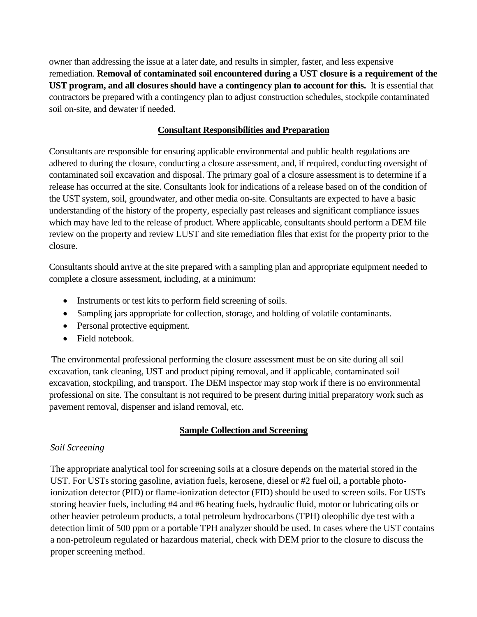owner than addressing the issue at a later date, and results in simpler, faster, and less expensive remediation. **Removal of contaminated soil encountered during a UST closure is a requirement of the UST program, and all closures should have a contingency plan to account for this.** It is essential that contractors be prepared with a contingency plan to adjust construction schedules, stockpile contaminated soil on-site, and dewater if needed.

#### **Consultant Responsibilities and Preparation**

Consultants are responsible for ensuring applicable environmental and public health regulations are adhered to during the closure, conducting a closure assessment, and, if required, conducting oversight of contaminated soil excavation and disposal. The primary goal of a closure assessment is to determine if a release has occurred at the site. Consultants look for indications of a release based on of the condition of the UST system, soil, groundwater, and other media on-site. Consultants are expected to have a basic understanding of the history of the property, especially past releases and significant compliance issues which may have led to the release of product. Where applicable, consultants should perform a DEM file review on the property and review LUST and site remediation files that exist for the property prior to the closure.

Consultants should arrive at the site prepared with a sampling plan and appropriate equipment needed to complete a closure assessment, including, at a minimum:

- Instruments or test kits to perform field screening of soils.
- Sampling jars appropriate for collection, storage, and holding of volatile contaminants.
- Personal protective equipment.
- Field notebook.

The environmental professional performing the closure assessment must be on site during all soil excavation, tank cleaning, UST and product piping removal, and if applicable, contaminated soil excavation, stockpiling, and transport. The DEM inspector may stop work if there is no environmental professional on site. The consultant is not required to be present during initial preparatory work such as pavement removal, dispenser and island removal, etc.

## **Sample Collection and Screening**

#### *Soil Screening*

The appropriate analytical tool for screening soils at a closure depends on the material stored in the UST. For USTs storing gasoline, aviation fuels, kerosene, diesel or #2 fuel oil, a portable photoionization detector (PID) or flame-ionization detector (FID) should be used to screen soils. For USTs storing heavier fuels, including #4 and #6 heating fuels, hydraulic fluid, motor or lubricating oils or other heavier petroleum products, a total petroleum hydrocarbons (TPH) oleophilic dye test with a detection limit of 500 ppm or a portable TPH analyzer should be used. In cases where the UST contains a non-petroleum regulated or hazardous material, check with DEM prior to the closure to discuss the proper screening method.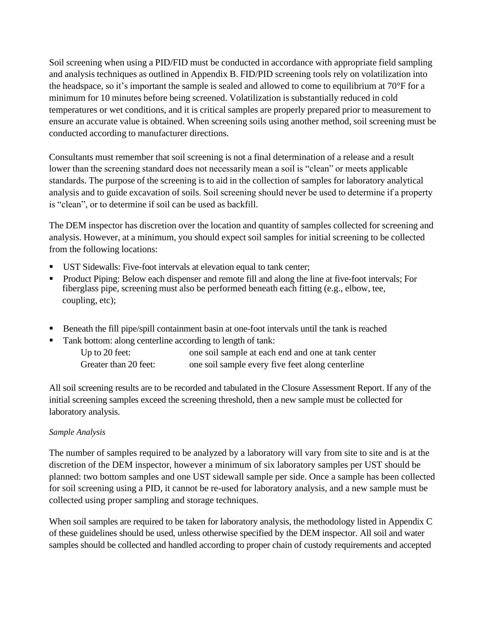Soil screening when using a PID/FID must be conducted in accordance with appropriate field sampling and analysis techniques as outlined in Appendix B. FID/PID screening tools rely on volatilization into the headspace, so it's important the sample is sealed and allowed to come to equilibrium at 70°F for a minimum for 10 minutes before being screened. Volatilization is substantially reduced in cold temperatures or wet conditions, and it is critical samples are properly prepared prior to measurement to ensure an accurate value is obtained. When screening soils using another method, soil screening must be conducted according to manufacturer directions.

Consultants must remember that soil screening is not a final determination of a release and a result lower than the screening standard does not necessarily mean a soil is "clean" or meets applicable standards. The purpose of the screening is to aid in the collection of samples for laboratory analytical analysis and to guide excavation of soils. Soil screening should never be used to determine if a property is "clean", or to determine if soil can be used as backfill.

The DEM inspector has discretion over the location and quantity of samples collected for screening and analysis. However, at a minimum, you should expect soil samples for initial screening to be collected from the following locations:

- UST Sidewalls: Five-foot intervals at elevation equal to tank center;
- Product Piping: Below each dispenser and remote fill and along the line at five-foot intervals; For fiberglass pipe, screening must also be performed beneath each fitting (e.g., elbow, tee, coupling, etc);
- Beneath the fill pipe/spill containment basin at one-foot intervals until the tank is reached
- Tank bottom: along centerline according to length of tank: Up to 20 feet: one soil sample at each end and one at tank center Greater than 20 feet: one soil sample every five feet along centerline

All soil screening results are to be recorded and tabulated in the Closure Assessment Report. If any of the initial screening samples exceed the screening threshold, then a new sample must be collected for laboratory analysis.

#### *Sample Analysis*

The number of samples required to be analyzed by a laboratory will vary from site to site and is at the discretion of the DEM inspector, however a minimum of six laboratory samples per UST should be planned: two bottom samples and one UST sidewall sample per side. Once a sample has been collected for soil screening using a PID, it cannot be re-used for laboratory analysis, and a new sample must be collected using proper sampling and storage techniques.

When soil samples are required to be taken for laboratory analysis, the methodology listed in Appendix C of these guidelines should be used, unless otherwise specified by the DEM inspector. All soil and water samples should be collected and handled according to proper chain of custody requirements and accepted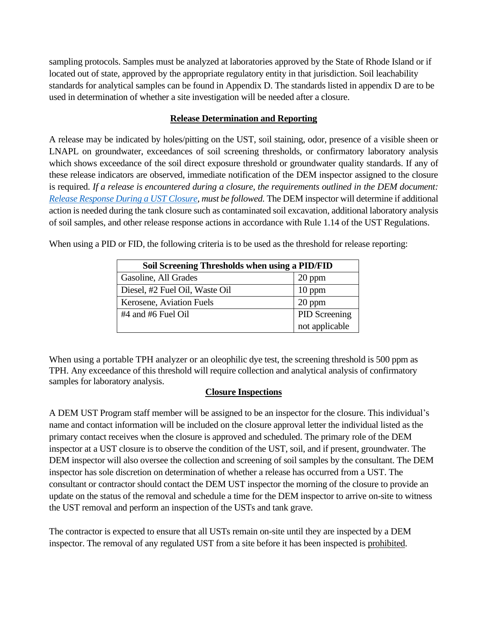sampling protocols. Samples must be analyzed at laboratories approved by the State of Rhode Island or if located out of state, approved by the appropriate regulatory entity in that jurisdiction. Soil leachability standards for analytical samples can be found in Appendix D. The standards listed in appendix D are to be used in determination of whether a site investigation will be needed after a closure.

#### **Release Determination and Reporting**

A release may be indicated by holes/pitting on the UST, soil staining, odor, presence of a visible sheen or LNAPL on groundwater, exceedances of soil screening thresholds, or confirmatory laboratory analysis which shows exceedance of the soil direct exposure threshold or groundwater quality standards. If any of these release indicators are observed, immediate notification of the DEM inspector assigned to the closure is required. If a release is encountered during a closure, the requirements outlined in the DEM document: *[Release Response During a UST Closure,](http://www.dem.ri.gov/programs/benviron/waste/pdf/Release%20Response%20During%20a%20UST%20Closure.pdf) must be followed.* The DEM inspector will determine if additional action is needed during the tank closure such as contaminated soil excavation, additional laboratory analysis of soil samples, and other release response actions in accordance with Rule 1.14 of the UST Regulations.

When using a PID or FID, the following criteria is to be used as the threshold for release reporting:

| Soil Screening Thresholds when using a PID/FID |                |  |
|------------------------------------------------|----------------|--|
| Gasoline, All Grades                           | 20 ppm         |  |
| Diesel, #2 Fuel Oil, Waste Oil                 | $10$ ppm       |  |
| Kerosene, Aviation Fuels                       | 20 ppm         |  |
| #4 and #6 Fuel Oil                             | PID Screening  |  |
|                                                | not applicable |  |

When using a portable TPH analyzer or an oleophilic dye test, the screening threshold is 500 ppm as TPH. Any exceedance of this threshold will require collection and analytical analysis of confirmatory samples for laboratory analysis.

## **Closure Inspections**

A DEM UST Program staff member will be assigned to be an inspector for the closure. This individual's name and contact information will be included on the closure approval letter the individual listed as the primary contact receives when the closure is approved and scheduled. The primary role of the DEM inspector at a UST closure is to observe the condition of the UST, soil, and if present, groundwater. The DEM inspector will also oversee the collection and screening of soil samples by the consultant. The DEM inspector has sole discretion on determination of whether a release has occurred from a UST. The consultant or contractor should contact the DEM UST inspector the morning of the closure to provide an update on the status of the removal and schedule a time for the DEM inspector to arrive on-site to witness the UST removal and perform an inspection of the USTs and tank grave.

The contractor is expected to ensure that all USTs remain on-site until they are inspected by a DEM inspector. The removal of any regulated UST from a site before it has been inspected is prohibited.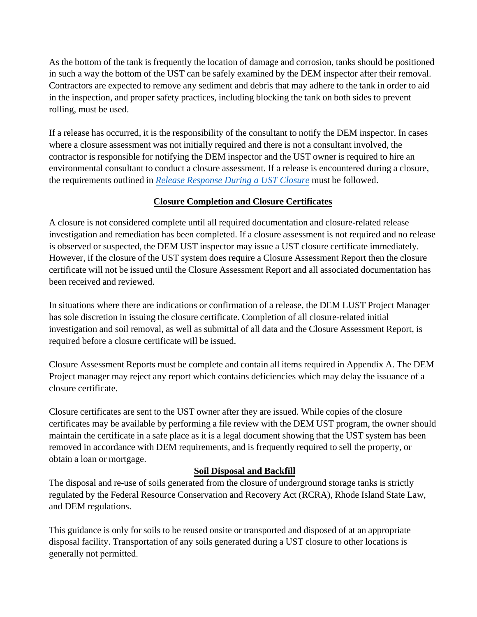As the bottom of the tank is frequently the location of damage and corrosion, tanks should be positioned in such a way the bottom of the UST can be safely examined by the DEM inspector after their removal. Contractors are expected to remove any sediment and debris that may adhere to the tank in order to aid in the inspection, and proper safety practices, including blocking the tank on both sides to prevent rolling, must be used.

If a release has occurred, it is the responsibility of the consultant to notify the DEM inspector. In cases where a closure assessment was not initially required and there is not a consultant involved, the contractor is responsible for notifying the DEM inspector and the UST owner is required to hire an environmental consultant to conduct a closure assessment. If a release is encountered during a closure, the requirements outlined in *[Release Response Durin](http://www.dem.ri.gov/programs/benviron/waste/pdf/Release%20Response%20During%20a%20UST%20Closure.pdf)g a UST Closure* must be followed.

## **Closure Completion and Closure Certificates**

A closure is not considered complete until all required documentation and closure-related release investigation and remediation has been completed. If a closure assessment is not required and no release is observed or suspected, the DEM UST inspector may issue a UST closure certificate immediately. However, if the closure of the UST system does require a Closure Assessment Report then the closure certificate will not be issued until the Closure Assessment Report and all associated documentation has been received and reviewed.

In situations where there are indications or confirmation of a release, the DEM LUST Project Manager has sole discretion in issuing the closure certificate. Completion of all closure-related initial investigation and soil removal, as well as submittal of all data and the Closure Assessment Report, is required before a closure certificate will be issued.

Closure Assessment Reports must be complete and contain all items required in Appendix A. The DEM Project manager may reject any report which contains deficiencies which may delay the issuance of a closure certificate.

Closure certificates are sent to the UST owner after they are issued. While copies of the closure certificates may be available by performing a file review with the DEM UST program, the owner should maintain the certificate in a safe place as it is a legal document showing that the UST system has been removed in accordance with DEM requirements, and is frequently required to sell the property, or obtain a loan or mortgage.

## **Soil Disposal and Backfill**

The disposal and re-use of soils generated from the closure of underground storage tanks is strictly regulated by the Federal Resource Conservation and Recovery Act (RCRA), Rhode Island State Law, and DEM regulations.

This guidance is only for soils to be reused onsite or transported and disposed of at an appropriate disposal facility. Transportation of any soils generated during a UST closure to other locations is generally not permitted.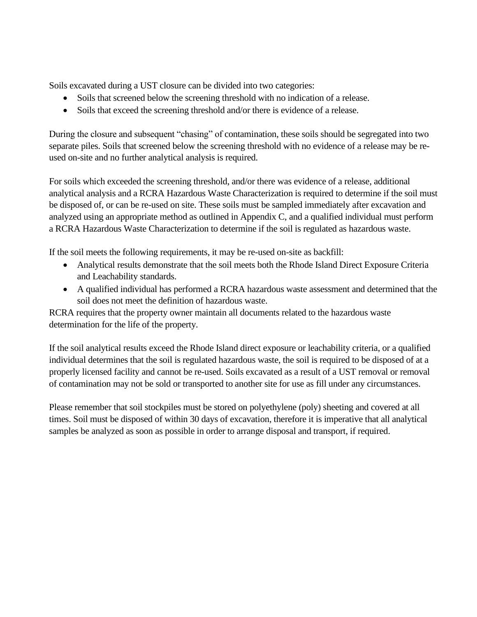Soils excavated during a UST closure can be divided into two categories:

- Soils that screened below the screening threshold with no indication of a release.
- Soils that exceed the screening threshold and/or there is evidence of a release.

During the closure and subsequent "chasing" of contamination, these soils should be segregated into two separate piles. Soils that screened below the screening threshold with no evidence of a release may be reused on-site and no further analytical analysis is required.

For soils which exceeded the screening threshold, and/or there was evidence of a release, additional analytical analysis and a RCRA Hazardous Waste Characterization is required to determine if the soil must be disposed of, or can be re-used on site. These soils must be sampled immediately after excavation and analyzed using an appropriate method as outlined in Appendix C, and a qualified individual must perform a RCRA Hazardous Waste Characterization to determine if the soil is regulated as hazardous waste.

If the soil meets the following requirements, it may be re-used on-site as backfill:

- Analytical results demonstrate that the soil meets both the Rhode Island Direct Exposure Criteria and Leachability standards.
- A qualified individual has performed a RCRA hazardous waste assessment and determined that the soil does not meet the definition of hazardous waste.

RCRA requires that the property owner maintain all documents related to the hazardous waste determination for the life of the property.

If the soil analytical results exceed the Rhode Island direct exposure or leachability criteria, or a qualified individual determines that the soil is regulated hazardous waste, the soil is required to be disposed of at a properly licensed facility and cannot be re-used. Soils excavated as a result of a UST removal or removal of contamination may not be sold or transported to another site for use as fill under any circumstances.

Please remember that soil stockpiles must be stored on polyethylene (poly) sheeting and covered at all times. Soil must be disposed of within 30 days of excavation, therefore it is imperative that all analytical samples be analyzed as soon as possible in order to arrange disposal and transport, if required.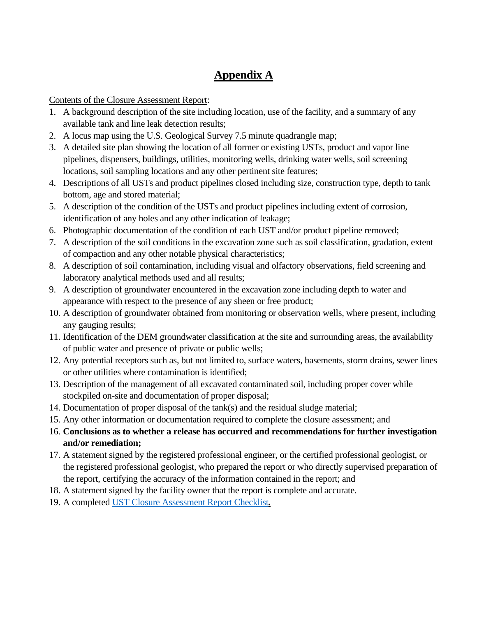## **Appendix A**

Contents of the Closure Assessment Report:

- 1. A background description of the site including location, use of the facility, and a summary of any available tank and line leak detection results;
- 2. A locus map using the U.S. Geological Survey 7.5 minute quadrangle map;
- 3. A detailed site plan showing the location of all former or existing USTs, product and vapor line pipelines, dispensers, buildings, utilities, monitoring wells, drinking water wells, soil screening locations, soil sampling locations and any other pertinent site features;
- 4. Descriptions of all USTs and product pipelines closed including size, construction type, depth to tank bottom, age and stored material;
- 5. A description of the condition of the USTs and product pipelines including extent of corrosion, identification of any holes and any other indication of leakage;
- 6. Photographic documentation of the condition of each UST and/or product pipeline removed;
- 7. A description of the soil conditions in the excavation zone such as soil classification, gradation, extent of compaction and any other notable physical characteristics;
- 8. A description of soil contamination, including visual and olfactory observations, field screening and laboratory analytical methods used and all results;
- 9. A description of groundwater encountered in the excavation zone including depth to water and appearance with respect to the presence of any sheen or free product;
- 10. A description of groundwater obtained from monitoring or observation wells, where present, including any gauging results;
- 11. Identification of the DEM groundwater classification at the site and surrounding areas, the availability of public water and presence of private or public wells;
- 12. Any potential receptors such as, but not limited to, surface waters, basements, storm drains, sewer lines or other utilities where contamination is identified;
- 13. Description of the management of all excavated contaminated soil, including proper cover while stockpiled on-site and documentation of proper disposal;
- 14. Documentation of proper disposal of the tank(s) and the residual sludge material;
- 15. Any other information or documentation required to complete the closure assessment; and
- 16. **Conclusions as to whether a release has occurred and recommendations for further investigation and/or remediation;**
- 17. A statement signed by the registered professional engineer, or the certified professional geologist, or the registered professional geologist, who prepared the report or who directly supervised preparation of the report, certifying the accuracy of the information contained in the report; and
- 18. A statement signed by the facility owner that the report is complete and accurate.
- 19. A completed [UST Closure Assessment Report Checklist](http://www.dem.ri.gov/programs/benviron/waste/pdf/clsrchek.pdf)*.*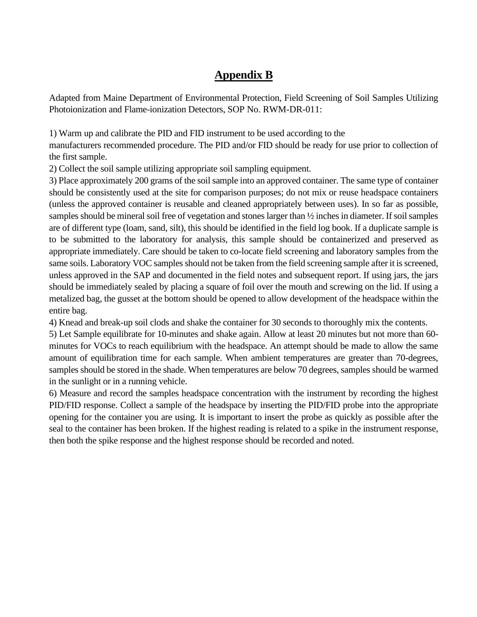## **Appendix B**

Adapted from Maine Department of Environmental Protection, Field Screening of Soil Samples Utilizing Photoionization and Flame-ionization Detectors, SOP No. RWM-DR-011:

1) Warm up and calibrate the PID and FID instrument to be used according to the

manufacturers recommended procedure. The PID and/or FID should be ready for use prior to collection of the first sample.

2) Collect the soil sample utilizing appropriate soil sampling equipment.

3) Place approximately 200 grams of the soil sample into an approved container. The same type of container should be consistently used at the site for comparison purposes; do not mix or reuse headspace containers (unless the approved container is reusable and cleaned appropriately between uses). In so far as possible, samples should be mineral soil free of vegetation and stones larger than ½ inches in diameter. If soil samples are of different type (loam, sand, silt), this should be identified in the field log book. If a duplicate sample is to be submitted to the laboratory for analysis, this sample should be containerized and preserved as appropriate immediately. Care should be taken to co-locate field screening and laboratory samples from the same soils. Laboratory VOC samples should not be taken from the field screening sample after it is screened, unless approved in the SAP and documented in the field notes and subsequent report. If using jars, the jars should be immediately sealed by placing a square of foil over the mouth and screwing on the lid. If using a metalized bag, the gusset at the bottom should be opened to allow development of the headspace within the entire bag.

4) Knead and break-up soil clods and shake the container for 30 seconds to thoroughly mix the contents.

5) Let Sample equilibrate for 10-minutes and shake again. Allow at least 20 minutes but not more than 60 minutes for VOCs to reach equilibrium with the headspace. An attempt should be made to allow the same amount of equilibration time for each sample. When ambient temperatures are greater than 70-degrees, samples should be stored in the shade. When temperatures are below 70 degrees, samples should be warmed in the sunlight or in a running vehicle.

6) Measure and record the samples headspace concentration with the instrument by recording the highest PID/FID response. Collect a sample of the headspace by inserting the PID/FID probe into the appropriate opening for the container you are using. It is important to insert the probe as quickly as possible after the seal to the container has been broken. If the highest reading is related to a spike in the instrument response, then both the spike response and the highest response should be recorded and noted.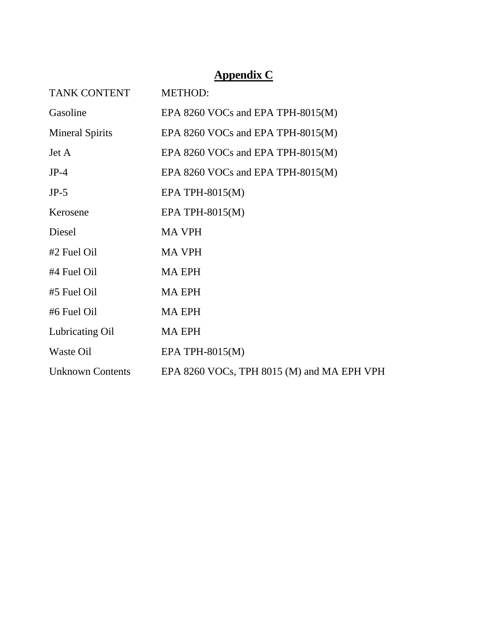# **Appendix C**

| TANK CONTENT            | <b>METHOD:</b>                             |
|-------------------------|--------------------------------------------|
| Gasoline                | EPA 8260 VOCs and EPA TPH-8015(M)          |
| <b>Mineral Spirits</b>  | EPA 8260 VOCs and EPA TPH-8015(M)          |
| Jet A                   | EPA 8260 VOCs and EPA TPH-8015(M)          |
| $JP-4$                  | EPA 8260 VOCs and EPA TPH-8015(M)          |
| $JP-5$                  | EPA TPH-8015 $(M)$                         |
| Kerosene                | EPA TPH-8015 $(M)$                         |
| Diesel                  | <b>MA VPH</b>                              |
| #2 Fuel Oil             | <b>MA VPH</b>                              |
| #4 Fuel Oil             | <b>MA EPH</b>                              |
| #5 Fuel Oil             | <b>MA EPH</b>                              |
| #6 Fuel Oil             | <b>MA EPH</b>                              |
| Lubricating Oil         | <b>MA EPH</b>                              |
| Waste Oil               | EPA TPH-8015 $(M)$                         |
| <b>Unknown Contents</b> | EPA 8260 VOCs, TPH 8015 (M) and MA EPH VPH |